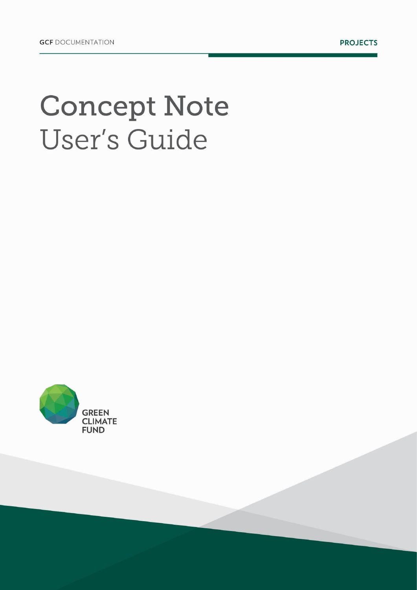# **Concept Note** User's Guide

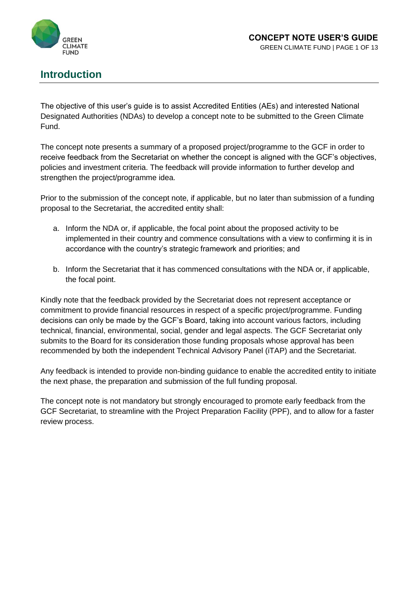

## **Introduction**

The objective of this user's guide is to assist Accredited Entities (AEs) and interested National Designated Authorities (NDAs) to develop a concept note to be submitted to the Green Climate Fund.

The concept note presents a summary of a proposed project/programme to the GCF in order to receive feedback from the Secretariat on whether the concept is aligned with the GCF's objectives, policies and investment criteria. The feedback will provide information to further develop and strengthen the project/programme idea.

Prior to the submission of the concept note, if applicable, but no later than submission of a funding proposal to the Secretariat, the accredited entity shall:

- a. Inform the NDA or, if applicable, the focal point about the proposed activity to be implemented in their country and commence consultations with a view to confirming it is in accordance with the country's strategic framework and priorities; and
- b. Inform the Secretariat that it has commenced consultations with the NDA or, if applicable, the focal point.

Kindly note that the feedback provided by the Secretariat does not represent acceptance or commitment to provide financial resources in respect of a specific project/programme. Funding decisions can only be made by the GCF's Board, taking into account various factors, including technical, financial, environmental, social, gender and legal aspects. The GCF Secretariat only submits to the Board for its consideration those funding proposals whose approval has been recommended by both the independent Technical Advisory Panel (iTAP) and the Secretariat.

Any feedback is intended to provide non-binding guidance to enable the accredited entity to initiate the next phase, the preparation and submission of the full funding proposal.

The concept note is not mandatory but strongly encouraged to promote early feedback from the GCF Secretariat, to streamline with the Project Preparation Facility (PPF), and to allow for a faster review process.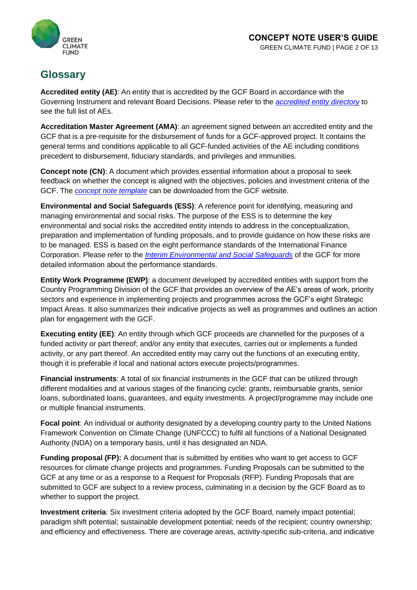



## **Glossary**

**Accredited entity (AE)**: An entity that is accredited by the GCF Board in accordance with the Governing Instrument and relevant Board Decisions. Please refer to the *[accredited entity directory](http://www.greenclimate.fund/how-we-work/tools/entity-directory)* to see the full list of AEs.

**Accreditation Master Agreement (AMA)**: an agreement signed between an accredited entity and the GCF that is a pre-requisite for the disbursement of funds for a GCF-approved project. It contains the general terms and conditions applicable to all GCF-funded activities of the AE including conditions precedent to disbursement, fiduciary standards, and privileges and immunities.

**Concept note (CN)**: A document which provides essential information about a proposal to seek feedback on whether the concept is aligned with the objectives, policies and investment criteria of the GCF. The *[concept note template](http://www.greenclimate.fund/documents/20182/574712/Form_01_-_Concept_Note.docx/18570723-5f7c-44c9-aacb-8c68fe99fce8)* can be downloaded from the GCF website.

**Environmental and Social Safeguards (ESS)**: A reference point for identifying, measuring and managing environmental and social risks. The purpose of the ESS is to determine the key environmental and social risks the accredited entity intends to address in the conceptualization, preparation and implementation of funding proposals, and to provide guidance on how these risks are to be managed. ESS is based on the eight performance standards of the International Finance Corporation. Please refer to the *[Interim Environmental and Social Safeguards](http://www.greenclimate.fund/documents/20182/818273/1.7_-_Environmental_and_Social_Safeguards.pdf/e4419923-4c2d-450c-a714-0d4ad3cc77e6?version=1.1)* of the GCF for more detailed information about the performance standards.

**Entity Work Programme (EWP)**: a document developed by accredited entities with support from the Country Programming Division of the GCF that provides an overview of the AE's areas of work, priority sectors and experience in implementing projects and programmes across the GCF's eight Strategic Impact Areas. It also summarizes their indicative projects as well as programmes and outlines an action plan for engagement with the GCF.

**Executing entity (EE)**: An entity through which GCF proceeds are channelled for the purposes of a funded activity or part thereof; and/or any entity that executes, carries out or implements a funded activity, or any part thereof. An accredited entity may carry out the functions of an executing entity, though it is preferable if local and national actors execute projects/programmes.

**Financial instruments**: A total of six financial instruments in the GCF that can be utilized through different modalities and at various stages of the financing cycle: grants, reimbursable grants, senior loans, subordinated loans, guarantees, and equity investments. A project/programme may include one or multiple financial instruments.

**Focal point**: An individual or authority designated by a developing country party to the United Nations Framework Convention on Climate Change (UNFCCC) to fulfil all functions of a National Designated Authority (NDA) on a temporary basis, until it has designated an NDA.

**Funding proposal (FP):** A document that is submitted by entities who want to get access to GCF resources for climate change projects and programmes. Funding Proposals can be submitted to the GCF at any time or as a response to a Request for Proposals (RFP). Funding Proposals that are submitted to GCF are subject to a review process, culminating in a decision by the GCF Board as to whether to support the project.

**Investment criteria**: Six investment criteria adopted by the GCF Board, namely impact potential; paradigm shift potential; sustainable development potential; needs of the recipient; country ownership; and efficiency and effectiveness. There are coverage areas, activity-specific sub-criteria, and indicative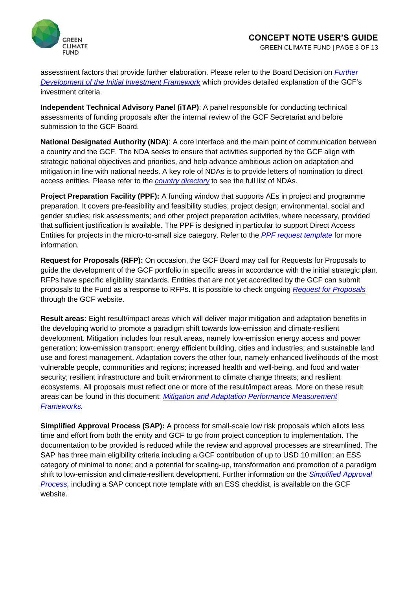

assessment factors that provide further elaboration. Please refer to the Board Decision on *[Further](http://www.greenclimate.fund/documents/20182/24949/GCF_B.09_07_-_Further_Development_of_the_Initial_Investment_Framework__Sub-Criteria_and_Methodology.pdf/18db33f8-a55b-488f-8a6b-5df68f39a137?version=1.1)  [Development of the Initial Investment Framework](http://www.greenclimate.fund/documents/20182/24949/GCF_B.09_07_-_Further_Development_of_the_Initial_Investment_Framework__Sub-Criteria_and_Methodology.pdf/18db33f8-a55b-488f-8a6b-5df68f39a137?version=1.1)* which provides detailed explanation of the GCF's investment criteria.

**Independent Technical Advisory Panel (iTAP)**: A panel responsible for conducting technical assessments of funding proposals after the internal review of the GCF Secretariat and before submission to the GCF Board.

**National Designated Authority (NDA)**: A core interface and the main point of communication between a country and the GCF. The NDA seeks to ensure that activities supported by the GCF align with strategic national objectives and priorities, and help advance ambitious action on adaptation and mitigation in line with national needs. A key role of NDAs is to provide letters of nomination to direct access entities. Please refer to the *[country directory](http://www.greenclimate.fund/how-we-work/tools/country-directory)* to see the full list of NDAs.

**Project Preparation Facility (PPF):** A funding window that supports AEs in project and programme preparation. It covers pre-feasibility and feasibility studies; project design; environmental, social and gender studies; risk assessments; and other project preparation activities, where necessary, provided that sufficient justification is available. The PPF is designed in particular to support Direct Access Entities for projects in the micro-to-small size category. Refer to the *[PPF request template](http://www.greenclimate.fund/gcf101/funding-projects/project-preparation/#step-2-submit-a-ppf-application)* for more information*.*

**Request for Proposals (RFP):** On occasion, the GCF Board may call for Requests for Proposals to guide the development of the GCF portfolio in specific areas in accordance with the initial strategic plan. RFPs have specific eligibility standards. Entities that are not yet accredited by the GCF can submit proposals to the Fund as a response to RFPs. It is possible to check ongoing *[Request for Proposals](http://www.greenclimate.fund/gcf101/funding-projects/project-funding)* through the GCF website.

**Result areas:** Eight result/impact areas which will deliver major mitigation and adaptation benefits in the developing world to promote a paradigm shift towards low-emission and climate-resilient development. Mitigation includes four result areas, namely low-emission energy access and power generation; low-emission transport; energy efficient building, cities and industries; and sustainable land use and forest management. Adaptation covers the other four, namely enhanced livelihoods of the most vulnerable people, communities and regions; increased health and well-being, and food and water security; resilient infrastructure and built environment to climate change threats; and resilient ecosystems. All proposals must reflect one or more of the result/impact areas. More on these result areas can be found in this document: *[Mitigation and Adaptation Performance Measurement](https://www.greenclimate.fund/documents/20182/239759/5.3_-_Performance_Measurement_Frameworks__PMF_.pdf/60941cef-7c87-475f-809e-4ebf1acbb3f4)  [Frameworks.](https://www.greenclimate.fund/documents/20182/239759/5.3_-_Performance_Measurement_Frameworks__PMF_.pdf/60941cef-7c87-475f-809e-4ebf1acbb3f4)*

**Simplified Approval Process (SAP):** A process for small-scale low risk proposals which allots less time and effort from both the entity and GCF to go from project conception to implementation. The documentation to be provided is reduced while the review and approval processes are streamlined. The SAP has three main eligibility criteria including a GCF contribution of up to USD 10 million; an ESS category of minimal to none; and a potential for scaling-up, transformation and promotion of a paradigm shift to low-emission and climate-resilient development. Further information on the *[Simplified Approval](http://www.greenclimate.fund/how-we-work/funding-projects/simplified-approval-process)  [Process,](http://www.greenclimate.fund/how-we-work/funding-projects/simplified-approval-process)* including a SAP concept note template with an ESS checklist, is available on the GCF website.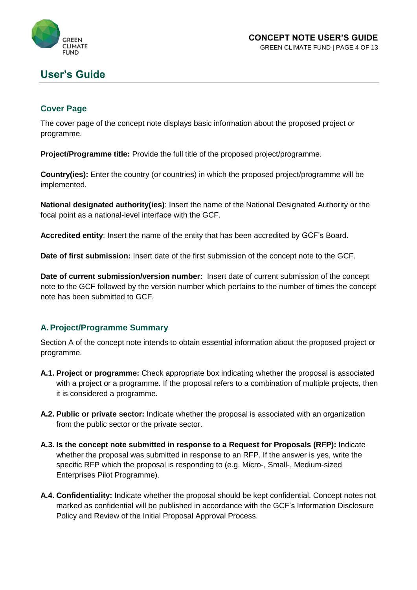

GREEN CLIMATE FUND | PAGE 4 OF 13

## **User's Guide**

#### **Cover Page**

The cover page of the concept note displays basic information about the proposed project or programme.

**Project/Programme title:** Provide the full title of the proposed project/programme.

**Country(ies):** Enter the country (or countries) in which the proposed project/programme will be implemented.

**National designated authority(ies)**: Insert the name of the National Designated Authority or the focal point as a national-level interface with the GCF.

**Accredited entity**: Insert the name of the entity that has been accredited by GCF's Board.

**Date of first submission:** Insert date of the first submission of the concept note to the GCF.

**Date of current submission/version number:** Insert date of current submission of the concept note to the GCF followed by the version number which pertains to the number of times the concept note has been submitted to GCF.

#### **A.Project/Programme Summary**

Section A of the concept note intends to obtain essential information about the proposed project or programme.

- **A.1. Project or programme:** Check appropriate box indicating whether the proposal is associated with a project or a programme. If the proposal refers to a combination of multiple projects, then it is considered a programme.
- **A.2. Public or private sector:** Indicate whether the proposal is associated with an organization from the public sector or the private sector.
- **A.3. Is the concept note submitted in response to a Request for Proposals (RFP):** Indicate whether the proposal was submitted in response to an RFP. If the answer is yes, write the specific RFP which the proposal is responding to (e.g. Micro-, Small-, Medium-sized Enterprises Pilot Programme).
- **A.4. Confidentiality:** Indicate whether the proposal should be kept confidential. Concept notes not marked as confidential will be published in accordance with the GCF's Information Disclosure Policy and Review of the Initial Proposal Approval Process.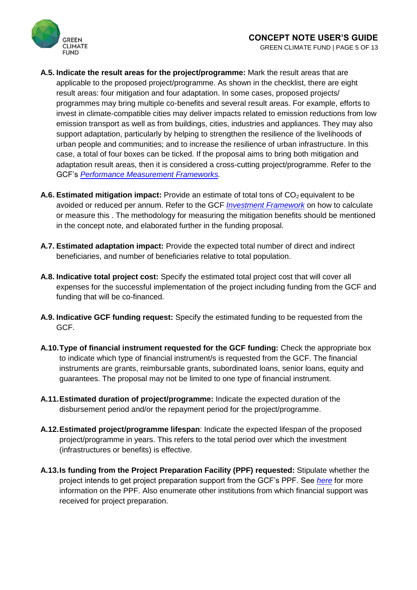

- **A.5. Indicate the result areas for the project/programme:** Mark the result areas that are applicable to the proposed project/programme. As shown in the checklist, there are eight result areas: four mitigation and four adaptation. In some cases, proposed projects/ programmes may bring multiple co-benefits and several result areas. For example, efforts to invest in climate-compatible cities may deliver impacts related to emission reductions from low emission transport as well as from buildings, cities, industries and appliances. They may also support adaptation, particularly by helping to strengthen the resilience of the livelihoods of urban people and communities; and to increase the resilience of urban infrastructure. In this case, a total of four boxes can be ticked. If the proposal aims to bring both mitigation and adaptation result areas, then it is considered a cross-cutting project/programme. Refer to the GCF's *[Performance Measurement Frameworks.](https://www.greenclimate.fund/documents/20182/239759/5.3_-_Performance_Measurement_Frameworks__PMF_.pdf/60941cef-7c87-475f-809e-4ebf1acbb3f4)*
- **A.6. Estimated mitigation impact:** Provide an estimate of total tons of CO<sub>2</sub> equivalent to be avoided or reduced per annum. Refer to the GCF *[Investment Framework](http://www.greenclimate.fund/documents/20182/239759/Investment_Framework.pdf/eb3c6adc-0f24-4586-8e0d-70aa6fb8c3c8?version=1.2)* on how to calculate or measure this . The methodology for measuring the mitigation benefits should be mentioned in the concept note, and elaborated further in the funding proposal.
- **A.7. Estimated adaptation impact:** Provide the expected total number of direct and indirect beneficiaries, and number of beneficiaries relative to total population.
- **A.8. Indicative total project cost:** Specify the estimated total project cost that will cover all expenses for the successful implementation of the project including funding from the GCF and funding that will be co-financed.
- **A.9. Indicative GCF funding request:** Specify the estimated funding to be requested from the GCF.
- **A.10.Type of financial instrument requested for the GCF funding:** Check the appropriate box to indicate which type of financial instrument/s is requested from the GCF. The financial instruments are grants, reimbursable grants, subordinated loans, senior loans, equity and guarantees. The proposal may not be limited to one type of financial instrument.
- **A.11.Estimated duration of project/programme:** Indicate the expected duration of the disbursement period and/or the repayment period for the project/programme.
- **A.12.Estimated project/programme lifespan**: Indicate the expected lifespan of the proposed project/programme in years. This refers to the total period over which the investment (infrastructures or benefits) is effective.
- **A.13.Is funding from the Project Preparation Facility (PPF) requested:** Stipulate whether the project intends to get project preparation support from the GCF's PPF. See *[here](http://www.greenclimate.fund/gcf101/funding-projects/project-preparation/#p_p_id_56_INSTANCE_G81RzaPmz656_)* for more information on the PPF. Also enumerate other institutions from which financial support was received for project preparation.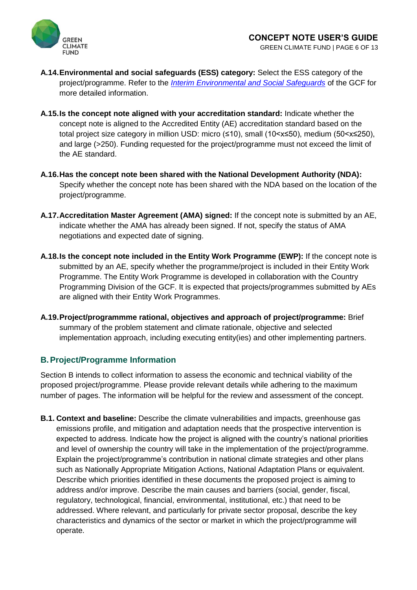

- **A.14.Environmental and social safeguards (ESS) category:** Select the ESS category of the project/programme. Refer to the *[Interim Environmental and Social Safeguards](http://www.greenclimate.fund/documents/20182/24943/GCF_B.07_02_-_Guiding_Framework_for_Accreditation.pdf/a855fdf1-e89b-47fb-8a41-dfa2050d38b9)* of the GCF for more detailed information.
- **A.15.Is the concept note aligned with your accreditation standard:** Indicate whether the concept note is aligned to the Accredited Entity (AE) accreditation standard based on the total project size category in million USD: micro (≤10), small (10<x≤50), medium (50<x≤250), and large (>250). Funding requested for the project/programme must not exceed the limit of the AE standard.
- **A.16.Has the concept note been shared with the National Development Authority (NDA):**  Specify whether the concept note has been shared with the NDA based on the location of the project/programme.
- **A.17.Accreditation Master Agreement (AMA) signed:** If the concept note is submitted by an AE, indicate whether the AMA has already been signed. If not, specify the status of AMA negotiations and expected date of signing.
- **A.18.Is the concept note included in the Entity Work Programme (EWP):** If the concept note is submitted by an AE, specify whether the programme/project is included in their Entity Work Programme. The Entity Work Programme is developed in collaboration with the Country Programming Division of the GCF. It is expected that projects/programmes submitted by AEs are aligned with their Entity Work Programmes.
- **A.19.Project/programmme rational, objectives and approach of project/programme:** Brief summary of the problem statement and climate rationale, objective and selected implementation approach, including executing entity(ies) and other implementing partners.

#### **B.Project/Programme Information**

Section B intends to collect information to assess the economic and technical viability of the proposed project/programme. Please provide relevant details while adhering to the maximum number of pages. The information will be helpful for the review and assessment of the concept.

**B.1. Context and baseline:** Describe the climate vulnerabilities and impacts, greenhouse gas emissions profile, and mitigation and adaptation needs that the prospective intervention is expected to address. Indicate how the project is aligned with the country's national priorities and level of ownership the country will take in the implementation of the project/programme. Explain the project/programme's contribution in national climate strategies and other plans such as Nationally Appropriate Mitigation Actions, National Adaptation Plans or equivalent. Describe which priorities identified in these documents the proposed project is aiming to address and/or improve. Describe the main causes and barriers (social, gender, fiscal, regulatory, technological, financial, environmental, institutional, etc.) that need to be addressed. Where relevant, and particularly for private sector proposal, describe the key characteristics and dynamics of the sector or market in which the project/programme will operate.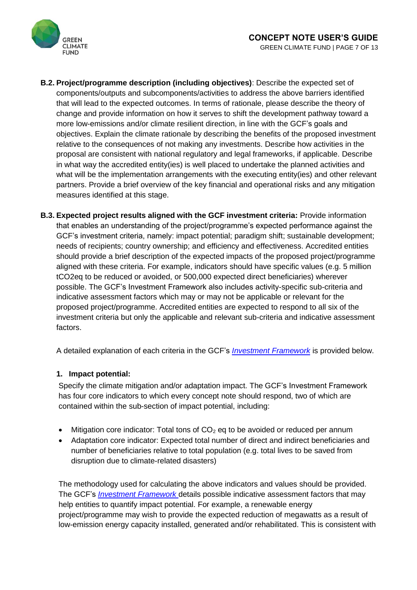

- **B.2. Project/programme description (including objectives)**: Describe the expected set of components/outputs and subcomponents/activities to address the above barriers identified that will lead to the expected outcomes. In terms of rationale, please describe the theory of change and provide information on how it serves to shift the development pathway toward a more low-emissions and/or climate resilient direction, in line with the GCF's goals and objectives. Explain the climate rationale by describing the benefits of the proposed investment relative to the consequences of not making any investments. Describe how activities in the proposal are consistent with national regulatory and legal frameworks, if applicable. Describe in what way the accredited entity(ies) is well placed to undertake the planned activities and what will be the implementation arrangements with the executing entity(ies) and other relevant partners. Provide a brief overview of the key financial and operational risks and any mitigation measures identified at this stage.
- **B.3. Expected project results aligned with the GCF investment criteria:** Provide information that enables an understanding of the project/programme's expected performance against the GCF's investment criteria, namely: impact potential; paradigm shift; sustainable development; needs of recipients; country ownership; and efficiency and effectiveness. Accredited entities should provide a brief description of the expected impacts of the proposed project/programme aligned with these criteria. For example, indicators should have specific values (e.g. 5 million tCO2eq to be reduced or avoided, or 500,000 expected direct beneficiaries) wherever possible. The GCF's Investment Framework also includes activity-specific sub-criteria and indicative assessment factors which may or may not be applicable or relevant for the proposed project/programme. Accredited entities are expected to respond to all six of the investment criteria but only the applicable and relevant sub-criteria and indicative assessment factors.

A detailed explanation of each criteria in the GCF's *[Investment Framework](http://www.greenclimate.fund/documents/20182/239759/Investment_Framework.pdf/eb3c6adc-0f24-4586-8e0d-70aa6fb8c3c8?version=1.2)* is provided below.

#### **1. Impact potential:**

Specify the climate mitigation and/or adaptation impact. The GCF's Investment Framework has four core indicators to which every concept note should respond, two of which are contained within the sub-section of impact potential, including:

- Mitigation core indicator: Total tons of  $CO<sub>2</sub>$  eq to be avoided or reduced per annum
- Adaptation core indicator: Expected total number of direct and indirect beneficiaries and number of beneficiaries relative to total population (e.g. total lives to be saved from disruption due to climate-related disasters)

The methodology used for calculating the above indicators and values should be provided. The GCF's *[Investment Framework](http://www.gcfund.org/fileadmin/00_customer/documents/Operations/IF_subcriteria_assessment_factors.pdf)* details possible indicative assessment factors that may help entities to quantify impact potential. For example, a renewable energy project/programme may wish to provide the expected reduction of megawatts as a result of low-emission energy capacity installed, generated and/or rehabilitated. This is consistent with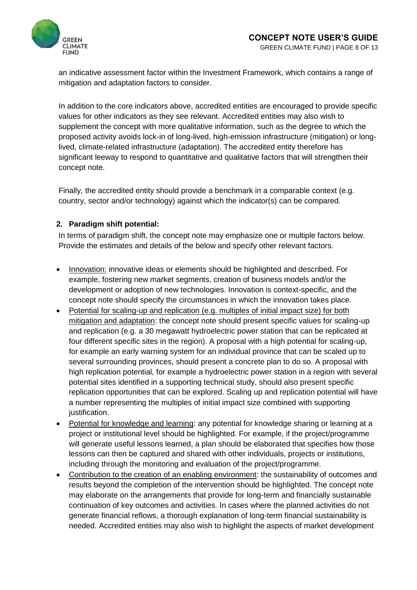

an indicative assessment factor within the Investment Framework, which contains a range of mitigation and adaptation factors to consider.

In addition to the core indicators above, accredited entities are encouraged to provide specific values for other indicators as they see relevant. Accredited entities may also wish to supplement the concept with more qualitative information, such as the degree to which the proposed activity avoids lock-in of long-lived, high-emission infrastructure (mitigation) or longlived, climate-related infrastructure (adaptation). The accredited entity therefore has significant leeway to respond to quantitative and qualitative factors that will strengthen their concept note.

Finally, the accredited entity should provide a benchmark in a comparable context (e.g. country, sector and/or technology) against which the indicator(s) can be compared.

#### **2. Paradigm shift potential:**

In terms of paradigm shift, the concept note may emphasize one or multiple factors below. Provide the estimates and details of the below and specify other relevant factors.

- Innovation: innovative ideas or elements should be highlighted and described. For example, fostering new market segments, creation of business models and/or the development or adoption of new technologies. Innovation is context-specific, and the concept note should specify the circumstances in which the innovation takes place.
- Potential for scaling-up and replication (e.g. multiples of initial impact size) for both mitigation and adaptation: the concept note should present specific values for scaling-up and replication (e.g. a 30 megawatt hydroelectric power station that can be replicated at four different specific sites in the region). A proposal with a high potential for scaling-up, for example an early warning system for an individual province that can be scaled up to several surrounding provinces, should present a concrete plan to do so. A proposal with high replication potential, for example a hydroelectric power station in a region with several potential sites identified in a supporting technical study, should also present specific replication opportunities that can be explored. Scaling up and replication potential will have a number representing the multiples of initial impact size combined with supporting justification.
- Potential for knowledge and learning: any potential for knowledge sharing or learning at a project or institutional level should be highlighted. For example, if the project/programme will generate useful lessons learned, a plan should be elaborated that specifies how those lessons can then be captured and shared with other individuals, projects or institutions, including through the monitoring and evaluation of the project/programme.
- Contribution to the creation of an enabling environment: the sustainability of outcomes and results beyond the completion of the intervention should be highlighted. The concept note may elaborate on the arrangements that provide for long-term and financially sustainable continuation of key outcomes and activities. In cases where the planned activities do not generate financial reflows, a thorough explanation of long-term financial sustainability is needed. Accredited entities may also wish to highlight the aspects of market development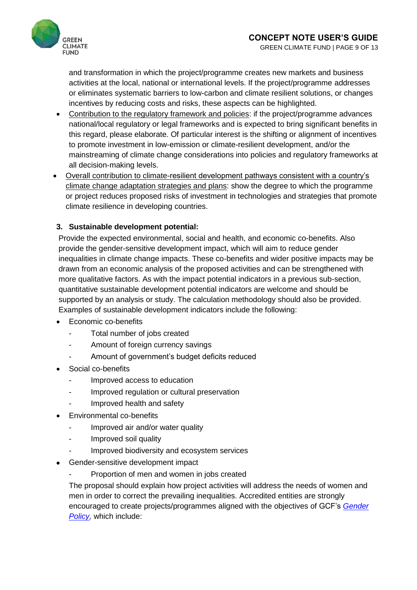

and transformation in which the project/programme creates new markets and business activities at the local, national or international levels. If the project/programme addresses or eliminates systematic barriers to low-carbon and climate resilient solutions, or changes incentives by reducing costs and risks, these aspects can be highlighted.

- Contribution to the regulatory framework and policies: if the project/programme advances national/local regulatory or legal frameworks and is expected to bring significant benefits in this regard, please elaborate. Of particular interest is the shifting or alignment of incentives to promote investment in low-emission or climate-resilient development, and/or the mainstreaming of climate change considerations into policies and regulatory frameworks at all decision-making levels.
- Overall contribution to climate-resilient development pathways consistent with a country's climate change adaptation strategies and plans: show the degree to which the programme or project reduces proposed risks of investment in technologies and strategies that promote climate resilience in developing countries.

#### **3. Sustainable development potential:**

Provide the expected environmental, social and health, and economic co-benefits. Also provide the gender-sensitive development impact, which will aim to reduce gender inequalities in climate change impacts. These co-benefits and wider positive impacts may be drawn from an economic analysis of the proposed activities and can be strengthened with more qualitative factors. As with the impact potential indicators in a previous sub-section, quantitative sustainable development potential indicators are welcome and should be supported by an analysis or study. The calculation methodology should also be provided. Examples of sustainable development indicators include the following:

- Economic co-benefits
	- Total number of jobs created
	- Amount of foreign currency savings
	- Amount of government's budget deficits reduced
- Social co-benefits
	- Improved access to education
	- Improved regulation or cultural preservation
	- Improved health and safety
- Environmental co-benefits
	- Improved air and/or water quality
	- Improved soil quality
	- Improved biodiversity and ecosystem services
- Gender-sensitive development impact
	- Proportion of men and women in jobs created

The proposal should explain how project activities will address the needs of women and men in order to correct the prevailing inequalities. Accredited entities are strongly encouraged to create projects/programmes aligned with the objectives of GCF's *[Gender](http://www.greenclimate.fund/documents/20182/818273/1.8_-_Gender_Policy_and_Action_Plan.pdf/f47842bd-b044-4500-b7ef-099bcf9a6bbe?version=1.1)  [Policy,](http://www.greenclimate.fund/documents/20182/818273/1.8_-_Gender_Policy_and_Action_Plan.pdf/f47842bd-b044-4500-b7ef-099bcf9a6bbe?version=1.1)* which include: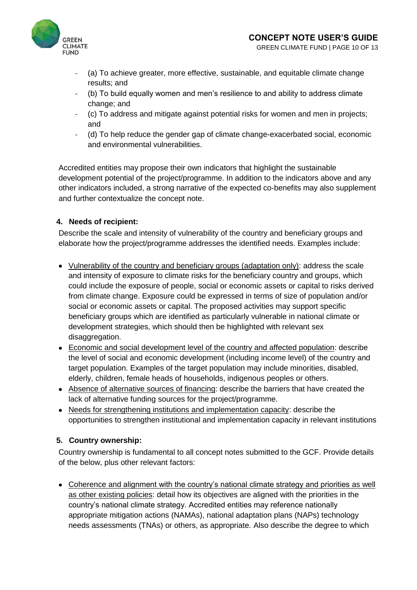

- (a) To achieve greater, more effective, sustainable, and equitable climate change results; and
- (b) To build equally women and men's resilience to and ability to address climate change; and
- (c) To address and mitigate against potential risks for women and men in projects; and
- (d) To help reduce the gender gap of climate change-exacerbated social, economic and environmental vulnerabilities.

Accredited entities may propose their own indicators that highlight the sustainable development potential of the project/programme. In addition to the indicators above and any other indicators included, a strong narrative of the expected co-benefits may also supplement and further contextualize the concept note.

#### **4. Needs of recipient:**

Describe the scale and intensity of vulnerability of the country and beneficiary groups and elaborate how the project/programme addresses the identified needs. Examples include:

- Vulnerability of the country and beneficiary groups (adaptation only): address the scale and intensity of exposure to climate risks for the beneficiary country and groups, which could include the exposure of people, social or economic assets or capital to risks derived from climate change. Exposure could be expressed in terms of size of population and/or social or economic assets or capital. The proposed activities may support specific beneficiary groups which are identified as particularly vulnerable in national climate or development strategies, which should then be highlighted with relevant sex disaggregation.
- Economic and social development level of the country and affected population: describe the level of social and economic development (including income level) of the country and target population. Examples of the target population may include minorities, disabled, elderly, children, female heads of households, indigenous peoples or others.
- Absence of alternative sources of financing: describe the barriers that have created the lack of alternative funding sources for the project/programme.
- Needs for strengthening institutions and implementation capacity: describe the opportunities to strengthen institutional and implementation capacity in relevant institutions

#### **5. Country ownership:**

Country ownership is fundamental to all concept notes submitted to the GCF. Provide details of the below, plus other relevant factors:

• Coherence and alignment with the country's national climate strategy and priorities as well as other existing policies: detail how its objectives are aligned with the priorities in the country's national climate strategy. Accredited entities may reference nationally appropriate mitigation actions (NAMAs), national adaptation plans (NAPs) technology needs assessments (TNAs) or others, as appropriate. Also describe the degree to which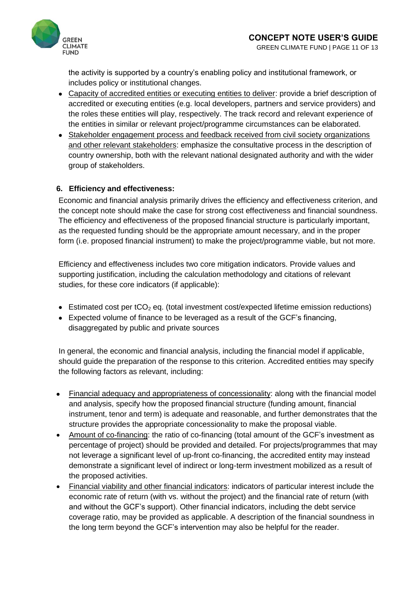

the activity is supported by a country's enabling policy and institutional framework, or includes policy or institutional changes.

- Capacity of accredited entities or executing entities to deliver: provide a brief description of accredited or executing entities (e.g. local developers, partners and service providers) and the roles these entities will play, respectively. The track record and relevant experience of the entities in similar or relevant project/programme circumstances can be elaborated.
- Stakeholder engagement process and feedback received from civil society organizations and other relevant stakeholders: emphasize the consultative process in the description of country ownership, both with the relevant national designated authority and with the wider group of stakeholders.

#### **6. Efficiency and effectiveness:**

Economic and financial analysis primarily drives the efficiency and effectiveness criterion, and the concept note should make the case for strong cost effectiveness and financial soundness. The efficiency and effectiveness of the proposed financial structure is particularly important, as the requested funding should be the appropriate amount necessary, and in the proper form (i.e. proposed financial instrument) to make the project/programme viable, but not more.

Efficiency and effectiveness includes two core mitigation indicators. Provide values and supporting justification, including the calculation methodology and citations of relevant studies, for these core indicators (if applicable):

- Estimated cost per tCO<sub>2</sub> eq. (total investment cost/expected lifetime emission reductions)
- Expected volume of finance to be leveraged as a result of the GCF's financing, disaggregated by public and private sources

In general, the economic and financial analysis, including the financial model if applicable, should guide the preparation of the response to this criterion. Accredited entities may specify the following factors as relevant, including:

- Financial adequacy and appropriateness of concessionality: along with the financial model and analysis, specify how the proposed financial structure (funding amount, financial instrument, tenor and term) is adequate and reasonable, and further demonstrates that the structure provides the appropriate concessionality to make the proposal viable.
- Amount of co-financing: the ratio of co-financing (total amount of the GCF's investment as percentage of project) should be provided and detailed. For projects/programmes that may not leverage a significant level of up-front co-financing, the accredited entity may instead demonstrate a significant level of indirect or long-term investment mobilized as a result of the proposed activities.
- Financial viability and other financial indicators: indicators of particular interest include the economic rate of return (with vs. without the project) and the financial rate of return (with and without the GCF's support). Other financial indicators, including the debt service coverage ratio, may be provided as applicable. A description of the financial soundness in the long term beyond the GCF's intervention may also be helpful for the reader.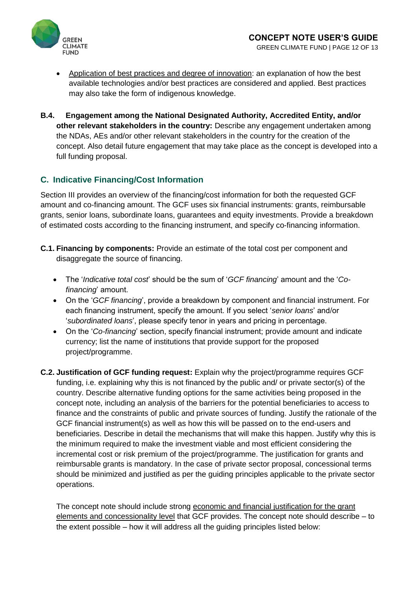

- Application of best practices and degree of innovation: an explanation of how the best available technologies and/or best practices are considered and applied. Best practices may also take the form of indigenous knowledge.
- **B.4. Engagement among the National Designated Authority, Accredited Entity, and/or other relevant stakeholders in the country:** Describe any engagement undertaken among the NDAs, AEs and/or other relevant stakeholders in the country for the creation of the concept. Also detail future engagement that may take place as the concept is developed into a full funding proposal.

#### **C. Indicative Financing/Cost Information**

Section III provides an overview of the financing/cost information for both the requested GCF amount and co-financing amount. The GCF uses six financial instruments: grants, reimbursable grants, senior loans, subordinate loans, guarantees and equity investments. Provide a breakdown of estimated costs according to the financing instrument, and specify co-financing information.

- **C.1. Financing by components:** Provide an estimate of the total cost per component and disaggregate the source of financing.
	- The '*Indicative total cost*' should be the sum of '*GCF financing*' amount and the '*Cofinancing*' amount.
	- On the '*GCF financing*', provide a breakdown by component and financial instrument. For each financing instrument, specify the amount. If you select '*senior loans*' and/or '*subordinated loans*', please specify tenor in years and pricing in percentage.
	- On the '*Co-financing*' section, specify financial instrument; provide amount and indicate currency; list the name of institutions that provide support for the proposed project/programme.
- **C.2. Justification of GCF funding request:** Explain why the project/programme requires GCF funding, i.e. explaining why this is not financed by the public and/ or private sector(s) of the country. Describe alternative funding options for the same activities being proposed in the concept note, including an analysis of the barriers for the potential beneficiaries to access to finance and the constraints of public and private sources of funding. Justify the rationale of the GCF financial instrument(s) as well as how this will be passed on to the end-users and beneficiaries. Describe in detail the mechanisms that will make this happen. Justify why this is the minimum required to make the investment viable and most efficient considering the incremental cost or risk premium of the project/programme. The justification for grants and reimbursable grants is mandatory. In the case of private sector proposal, concessional terms should be minimized and justified as per the guiding principles applicable to the private sector operations.

The concept note should include strong economic and financial justification for the grant elements and concessionality level that GCF provides. The concept note should describe – to the extent possible – how it will address all the guiding principles listed below: